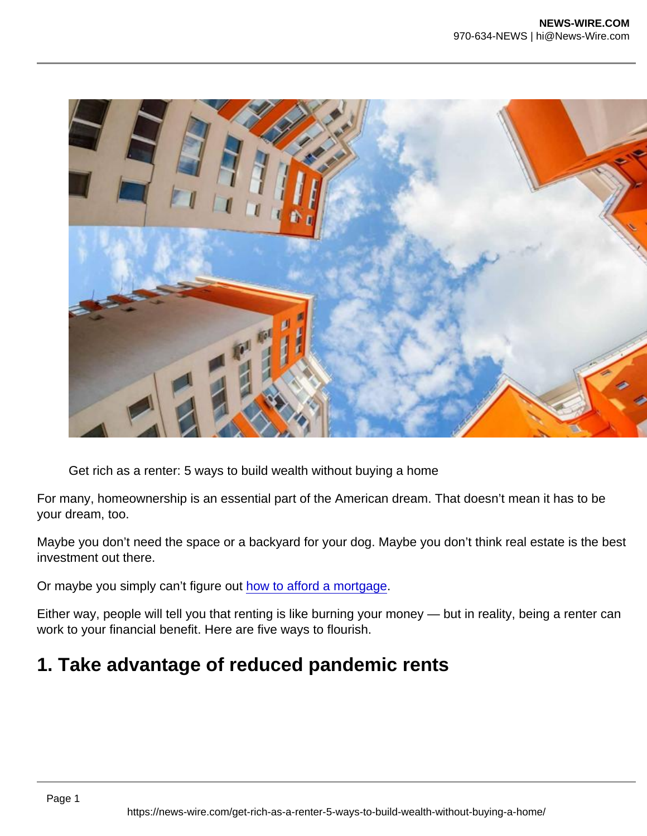Get rich as a renter: 5 ways to build wealth without buying a home

For many, homeownership is an essential part of the American dream. That doesn't mean it has to be your dream, too.

Maybe you don't need the space or a backyard for your dog. Maybe you don't think real estate is the best investment out there.

Or maybe you simply can't figure out [how to afford a mortgage](https://moneywise.com/mortgages/mortgages/mortgage-rates-have-never-been-cheaper?utm_source=syn_oath_mon&utm_medium=D&utm_campaign=19297&utm_content=oath_mon_19297_how+to+afford+a+mortgage).

Either way, people will tell you that renting is like burning your money — but in reality, being a renter can work to your financial benefit. Here are five ways to flourish.

## 1. Take advantage of reduced pandemic rents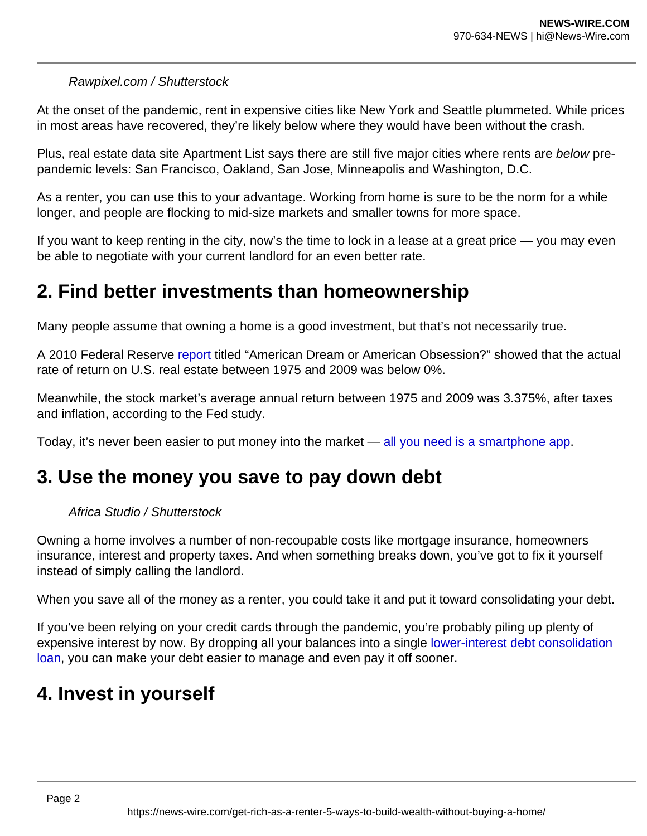#### Rawpixel.com / Shutterstock

At the onset of the pandemic, rent in expensive cities like New York and Seattle plummeted. While prices in most areas have recovered, they're likely below where they would have been without the crash.

Plus, real estate data site Apartment List says there are still five major cities where rents are below prepandemic levels: San Francisco, Oakland, San Jose, Minneapolis and Washington, D.C.

As a renter, you can use this to your advantage. Working from home is sure to be the norm for a while longer, and people are flocking to mid-size markets and smaller towns for more space.

If you want to keep renting in the city, now's the time to lock in a lease at a great price — you may even be able to negotiate with your current landlord for an even better rate.

## 2. Find better investments than homeownership

Many people assume that owning a home is a good investment, but that's not necessarily true.

A 2010 Federal Reserve [report](https://fraser.stlouisfed.org/title/business-review-federal-reserve-bank-philadelphia-5580/third-quarter-2010-557754/american-dream-american-obsession-522469) titled "American Dream or American Obsession?" showed that the actual rate of return on U.S. real estate between 1975 and 2009 was below 0%.

Meanwhile, the stock market's average annual return between 1975 and 2009 was 3.375%, after taxes and inflation, according to the Fed study.

Today, it's never been easier to put money into the market — [all you need is a smartphone app.](https://moneywise.com/investing/investing-basics/stash-vs-acorns-vs-robinhood-which-is-the-best-investing-app?utm_source=syn_oath_mon&utm_medium=D&utm_campaign=19297&utm_content=oath_mon_19297_all+you+need+is+a+smartphone+app)

### 3. Use the money you save to pay down debt

#### Africa Studio / Shutterstock

Owning a home involves a number of non-recoupable costs like mortgage insurance, homeowners insurance, interest and property taxes. And when something breaks down, you've got to fix it yourself instead of simply calling the landlord.

When you save all of the money as a renter, you could take it and put it toward consolidating your debt.

If you've been relying on your credit cards through the pandemic, you're probably piling up plenty of expensive interest by now. By dropping all your balances into a single [lower-interest debt consolidation](https://moneywise.com/borrowing/debt-consolidation-loans/take-a-break-from-your-debt-this-month?utm_source=syn_oath_mon&utm_medium=D&utm_campaign=19297&utm_content=oath_mon_19297_lower-interest+debt+consolidation+loan)  [loan,](https://moneywise.com/borrowing/debt-consolidation-loans/take-a-break-from-your-debt-this-month?utm_source=syn_oath_mon&utm_medium=D&utm_campaign=19297&utm_content=oath_mon_19297_lower-interest+debt+consolidation+loan) you can make your debt easier to manage and even pay it off sooner.

## 4. Invest in yourself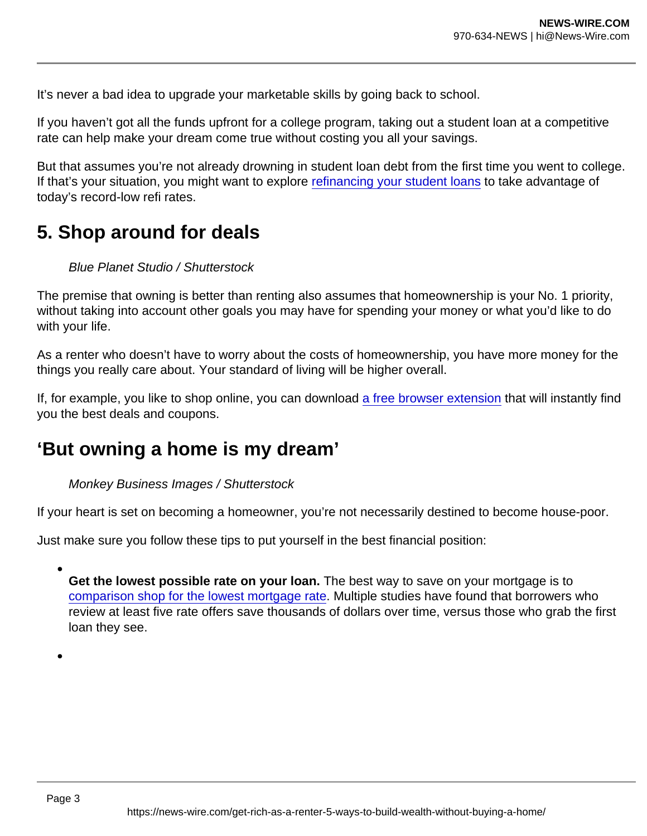It's never a bad idea to upgrade your marketable skills by going back to school.

If you haven't got all the funds upfront for a college program, taking out a student loan at a competitive rate can help make your dream come true without costing you all your savings.

But that assumes you're not already drowning in student loan debt from the first time you went to college. If that's your situation, you might want to explore [refinancing your student loans](https://moneywise.com/borrowing/student-loans/wish-you-could-get-rid-of-your-student-loans?utm_source=syn_oath_mon&utm_medium=D&utm_campaign=19297&utm_content=oath_mon_19297_refinancing+your+student+loans) to take advantage of today's record-low refi rates.

# 5. Shop around for deals

Blue Planet Studio / Shutterstock

The premise that owning is better than renting also assumes that homeownership is your No. 1 priority, without taking into account other goals you may have for spending your money or what you'd like to do with your life.

As a renter who doesn't have to worry about the costs of homeownership, you have more money for the things you really care about. Your standard of living will be higher overall.

If, for example, you like to shop online, you can download [a free browser extension](https://moneywise.com/life/shopping/shopping-online-find-better-deals?utm_source=syn_oath_mon&utm_medium=D&utm_campaign=19297&utm_content=oath_mon_19297_a+free+browser+extension) that will instantly find you the best deals and coupons.

## 'But owning a home is my dream'

Monkey Business Images / Shutterstock

If your heart is set on becoming a homeowner, you're not necessarily destined to become house-poor.

Just make sure you follow these tips to put yourself in the best financial position:

Get the lowest possible rate on your loan. The best way to save on your mortgage is to [comparison shop for the lowest mortgage rate](https://moneywise.com/mortgages/mortgages/mortgage-rates-have-never-been-cheaper?utm_source=syn_oath_mon&utm_medium=D&utm_campaign=19297&utm_content=oath_mon_19297_comparison+shop+for+the+lowest+mortgage+rate). Multiple studies have found that borrowers who review at least five rate offers save thousands of dollars over time, versus those who grab the first loan they see.